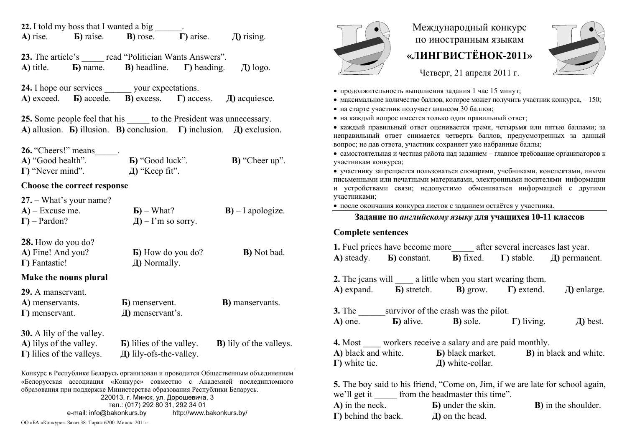| 22. I told my boss that I wanted a big                                                                                                                                  |                                                                                                                                                    |                                 | Международный конкурс                                                                                                                                       |
|-------------------------------------------------------------------------------------------------------------------------------------------------------------------------|----------------------------------------------------------------------------------------------------------------------------------------------------|---------------------------------|-------------------------------------------------------------------------------------------------------------------------------------------------------------|
| A) rise.<br><b>b</b> ) raise.                                                                                                                                           | $\Gamma$ ) arise.<br><b>B</b> ) rose.                                                                                                              | $\pi$ ) rising.                 | по иностранным языкам                                                                                                                                       |
|                                                                                                                                                                         | 23. The article's read "Politician Wants Answers".                                                                                                 |                                 | «ЛИНГВИСТЁНОК-2011»                                                                                                                                         |
| A) title.<br><b>b</b> ) name.                                                                                                                                           | <b>B</b> ) headline.<br>$\Gamma$ ) heading.                                                                                                        | $\pi$ ) logo.                   | Четверг, 21 апреля 2011 г.                                                                                                                                  |
|                                                                                                                                                                         | <b>24.</b> I hope our services your expectations.                                                                                                  |                                 | • продолжительность выполнения задания 1 час 15 минут;                                                                                                      |
| A) exceed. <b>b</b> ) accede.                                                                                                                                           | <b>B</b> ) excess. $\Gamma$ ) access.                                                                                                              | Д) acquiesce.                   | • максимальное количество баллов, которое может получить участник конкурса, -150;                                                                           |
|                                                                                                                                                                         |                                                                                                                                                    |                                 | • на старте участник получает авансом 30 баллов;<br>• на каждый вопрос имеется только один правильный ответ;                                                |
| 25. Some people feel that his to the President was unnecessary.<br>A) allusion. <b>b</b> ) illusion. <b>B</b> ) conclusion. <b>I</b> ) inclusion. $\Box$ and exclusion. |                                                                                                                                                    |                                 | • каждый правильный ответ оценивается тремя, четырьмя или пятью баллами; за                                                                                 |
|                                                                                                                                                                         |                                                                                                                                                    |                                 | неправильный ответ снимается четверть баллов, предусмотренных за данный                                                                                     |
| 26. "Cheers!" means                                                                                                                                                     |                                                                                                                                                    |                                 | вопрос; не дав ответа, участник сохраняет уже набранные баллы;<br>• самостоятельная и честная работа над заданием - главное требование организаторов к      |
| <b>B</b> ) "Good luck".<br>B) "Cheer up".<br>A) "Good health".<br>$\Gamma$ ) "Never mind".<br>$\pi$ ) "Кеер fit".                                                       |                                                                                                                                                    |                                 | участникам конкурса;                                                                                                                                        |
|                                                                                                                                                                         |                                                                                                                                                    |                                 | • участнику запрещается пользоваться словарями, учебниками, конспектами, иными<br>письменными или печатными материалами, электронными носителями информации |
| Choose the correct response                                                                                                                                             |                                                                                                                                                    |                                 | и устройствами связи; недопустимо обмениваться информацией с другими                                                                                        |
| $27. - What's your name?$                                                                                                                                               |                                                                                                                                                    |                                 | участниками;                                                                                                                                                |
| $A$ ) – Excuse me.                                                                                                                                                      | $\mathbf{E}$ ) – What?                                                                                                                             | $B$ ) – I apologize.            | • после окончания конкурса листок с заданием остаётся у участника.                                                                                          |
| $\Gamma$ ) – Pardon?                                                                                                                                                    | $\bf{I}$ ) – I'm so sorry.                                                                                                                         |                                 | Задание по английскому языку для учащихся 10-11 классов                                                                                                     |
|                                                                                                                                                                         |                                                                                                                                                    |                                 | <b>Complete sentences</b>                                                                                                                                   |
| 28. How do you do?<br>A) Fine! And you?                                                                                                                                 | <b>b</b> ) How do you do?                                                                                                                          | <b>B</b> ) Not bad.             | 1. Fuel prices have become more_______ after several increases last year.                                                                                   |
| $\Gamma$ ) Fantastic!                                                                                                                                                   | Д) Normally.                                                                                                                                       |                                 | $\Gamma$ ) stable.<br>A) steady.<br><b>b</b> ) constant.<br><b>B</b> ) fixed.<br>$\pi$ ) permanent.                                                         |
| Make the nouns plural                                                                                                                                                   |                                                                                                                                                    |                                 | <b>2.</b> The jeans will a little when you start wearing them.                                                                                              |
| 29. A manservant.                                                                                                                                                       |                                                                                                                                                    |                                 | <b>B</b> ) stretch.<br>A) expand.<br><b>B</b> ) grow.<br>$\Gamma$ ) extend.<br>Д) enlarge.                                                                  |
| A) menservants.                                                                                                                                                         | <b>b</b> ) menservent.                                                                                                                             | <b>B</b> ) manservants.         |                                                                                                                                                             |
| $\Gamma$ ) menservant.                                                                                                                                                  | Д) menservant's.                                                                                                                                   |                                 | survivor of the crash was the pilot.<br><b>3.</b> The                                                                                                       |
|                                                                                                                                                                         |                                                                                                                                                    |                                 | $\Gamma$ ) living.<br>$\pi$ ) best.<br><b>b</b> ) alive.<br><b>B</b> ) sole.<br>A) one.                                                                     |
| <b>30.</b> A lily of the valley.                                                                                                                                        |                                                                                                                                                    |                                 | <b>4.</b> Most workers receive a salary and are paid monthly.                                                                                               |
| A) lilys of the valley.<br>$\Gamma$ ) lilies of the valleys.                                                                                                            | <b>b</b> ) lilies of the valley.<br>Д) lily-ofs-the-valley.                                                                                        | <b>B</b> ) lily of the valleys. | A) black and white. <b>b</b> ) black market. <b>B</b> ) in black and white.                                                                                 |
|                                                                                                                                                                         |                                                                                                                                                    |                                 | $\Gamma$ ) white tie.<br>Д) white-collar.                                                                                                                   |
|                                                                                                                                                                         | Конкурс в Республике Беларусь организован и проводится Общественным объединением                                                                   |                                 |                                                                                                                                                             |
|                                                                                                                                                                         | «Белорусская ассоциация «Конкурс» совместно с Академией последипломного<br>образования при поддержке Министерства образования Республики Беларусь. |                                 | <b>5.</b> The boy said to his friend, "Come on, Jim, if we are late for school again,                                                                       |
| 220013, г. Минск, ул. Дорошевича, 3                                                                                                                                     |                                                                                                                                                    |                                 | we'll get it<br>from the headmaster this time".                                                                                                             |
| тел.: (017) 292 80 31, 292 34 01<br>e-mail: info@bakonkurs.by<br>http://www.bakonkurs.by/                                                                               |                                                                                                                                                    |                                 | A) in the neck.<br><b>B</b> ) in the shoulder.<br><b>B</b> ) under the skin.<br>$\Gamma$ ) behind the back.<br>$\pi$ ) on the head.                         |
| ОО «БА «Конкурс». Заказ 38. Тираж 6200. Минск. 2011г.                                                                                                                   |                                                                                                                                                    |                                 |                                                                                                                                                             |